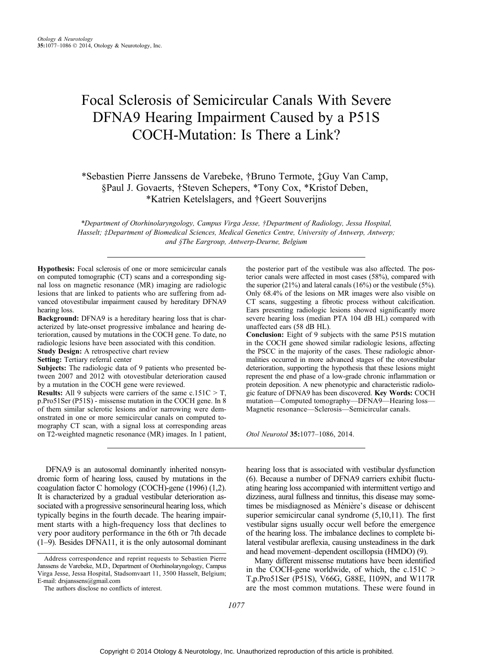# Focal Sclerosis of Semicircular Canals With Severe DFNA9 Hearing Impairment Caused by a P51S COCH-Mutation: Is There a Link?

\*Sebastien Pierre Janssens de Varebeke, †Bruno Termote, ‡Guy Van Camp, §Paul J. Govaerts, †Steven Schepers, \*Tony Cox, \*Kristof Deben, \*Katrien Ketelslagers, and †Geert Souverijns

\*Department of Otorhinolaryngology, Campus Virga Jesse, ÞDepartment of Radiology, Jessa Hospital, Hasselt; ‡Department of Biomedical Sciences, Medical Genetics Centre, University of Antwerp, Antwerp; and §The Eargroup, Antwerp-Deurne, Belgium

Hypothesis: Focal sclerosis of one or more semicircular canals on computed tomographic (CT) scans and a corresponding signal loss on magnetic resonance (MR) imaging are radiologic lesions that are linked to patients who are suffering from advanced otovestibular impairment caused by hereditary DFNA9 hearing loss.

Background: DFNA9 is a hereditary hearing loss that is characterized by late-onset progressive imbalance and hearing deterioration, caused by mutations in the COCH gene. To date, no radiologic lesions have been associated with this condition. Study Design: A retrospective chart review

Setting: Tertiary referral center

Subjects: The radiologic data of 9 patients who presented between 2007 and 2012 with otovestibular deterioration caused by a mutation in the COCH gene were reviewed.

**Results:** All 9 subjects were carriers of the same  $c.151C > T$ , p.Pro51Ser (P51S) - missense mutation in the COCH gene. In 8 of them similar sclerotic lesions and/or narrowing were demonstrated in one or more semicircular canals on computed tomography CT scan, with a signal loss at corresponding areas on T2-weighted magnetic resonance (MR) images. In 1 patient,

DFNA9 is an autosomal dominantly inherited nonsyndromic form of hearing loss, caused by mutations in the coagulation factor C homology (COCH)-gene (1996) (1,2). It is characterized by a gradual vestibular deterioration associated with a progressive sensorineural hearing loss, which typically begins in the fourth decade. The hearing impairment starts with a high-frequency loss that declines to very poor auditory performance in the 6th or 7th decade  $(1-9)$ . Besides DFNA11, it is the only autosomal dominant

the posterior part of the vestibule was also affected. The posterior canals were affected in most cases (58%), compared with the superior (21%) and lateral canals (16%) or the vestibule (5%). Only 68.4% of the lesions on MR images were also visible on CT scans, suggesting a fibrotic process without calcification. Ears presenting radiologic lesions showed significantly more severe hearing loss (median PTA 104 dB HL) compared with unaffected ears (58 dB HL).

Conclusion: Eight of 9 subjects with the same P51S mutation in the COCH gene showed similar radiologic lesions, affecting the PSCC in the majority of the cases. These radiologic abnormalities occurred in more advanced stages of the otovestibular deterioration, supporting the hypothesis that these lesions might represent the end phase of a low-grade chronic inflammation or protein deposition. A new phenotypic and characteristic radiologic feature of DFNA9 has been discovered. Key Words: COCH mutation—Computed tomography—DFNA9—Hearing loss-Magnetic resonance—Sclerosis—Semicircular canals.

Otol Neurotol 35:1077-1086, 2014.

hearing loss that is associated with vestibular dysfunction (6). Because a number of DFNA9 carriers exhibit fluctuating hearing loss accompanied with intermittent vertigo and dizziness, aural fullness and tinnitus, this disease may sometimes be misdiagnosed as Ménière's disease or dehiscent superior semicircular canal syndrome  $(5,10,11)$ . The first vestibular signs usually occur well before the emergence of the hearing loss. The imbalance declines to complete bilateral vestibular areflexia, causing unsteadiness in the dark and head movement-dependent oscillopsia (HMDO) (9).

Many different missense mutations have been identified in the COCH-gene worldwide, of which, the  $c.151C$  > T,p.Pro51Ser (P51S), V66G, G88E, I109N, and W117R are the most common mutations. These were found in

Address correspondence and reprint requests to Sebastien Pierre Janssens de Varebeke, M.D., Department of Otorhinolaryngology, Campus Virga Jesse, Jessa Hospital, Stadsomvaart 11, 3500 Hasselt, Belgium; E-mail: drsjanssens@gmail.com

The authors disclose no conflicts of interest.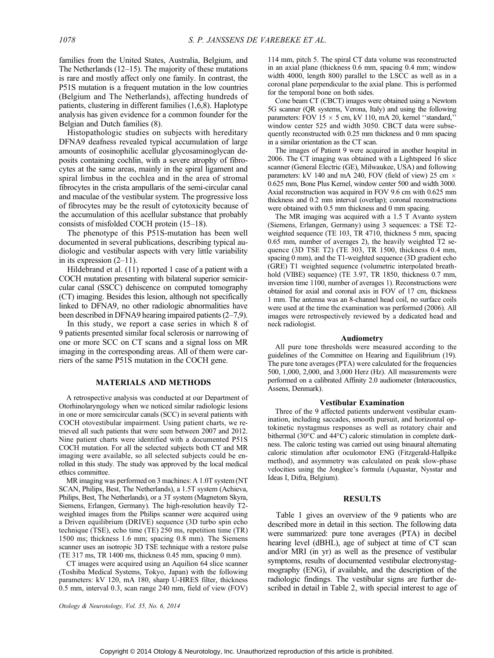families from the United States, Australia, Belgium, and The Netherlands  $(12-15)$ . The majority of these mutations is rare and mostly affect only one family. In contrast, the P51S mutation is a frequent mutation in the low countries (Belgium and The Netherlands), affecting hundreds of patients, clustering in different families (1,6,8). Haplotype analysis has given evidence for a common founder for the Belgian and Dutch families (8).

Histopathologic studies on subjects with hereditary DFNA9 deafness revealed typical accumulation of large amounts of eosinophilic acellular glycosaminoglycan deposits containing cochlin, with a severe atrophy of fibrocytes at the same areas, mainly in the spiral ligament and spiral limbus in the cochlea and in the area of stromal fibrocytes in the crista ampullaris of the semi-circular canal and maculae of the vestibular system. The progressive loss of fibrocytes may be the result of cytotoxicity because of the accumulation of this acellular substance that probably consists of misfolded COCH protein  $(15-18)$ .

The phenotype of this P51S-mutation has been well documented in several publications, describing typical audiologic and vestibular aspects with very little variability in its expression  $(2-11)$ .

Hildebrand et al. (11) reported 1 case of a patient with a COCH mutation presenting with bilateral superior semicircular canal (SSCC) dehiscence on computed tomography (CT) imaging. Besides this lesion, although not specifically linked to DFNA9, no other radiologic abnormalities have been described in DFNA9 hearing impaired patients  $(2-7,9)$ .

In this study, we report a case series in which 8 of 9 patients presented similar focal sclerosis or narrowing of one or more SCC on CT scans and a signal loss on MR imaging in the corresponding areas. All of them were carriers of the same P51S mutation in the COCH gene.

# MATERIALS AND METHODS

A retrospective analysis was conducted at our Department of Otorhinolaryngology when we noticed similar radiologic lesions in one or more semicircular canals (SCC) in several patients with COCH otovestibular impairment. Using patient charts, we retrieved all such patients that were seen between 2007 and 2012. Nine patient charts were identified with a documented P51S COCH mutation. For all the selected subjects both CT and MR imaging were available, so all selected subjects could be enrolled in this study. The study was approved by the local medical ethics committee.

MR imaging was performed on 3 machines: A 1.0T system (NT SCAN, Philips, Best, The Netherlands), a 1.5T system (Achieva, Philips, Best, The Netherlands), or a 3T system (Magnetom Skyra, Siemens, Erlangen, Germany). The high-resolution heavily T2 weighted images from the Philips scanner were acquired using a Driven equilibrium (DRIVE) sequence (3D turbo spin echo technique (TSE), echo time (TE) 250 ms, repetition time (TR) 1500 ms; thickness 1.6 mm; spacing 0.8 mm). The Siemens scanner uses an isotropic 3D TSE technique with a restore pulse (TE 317 ms, TR 1400 ms, thickness 0.45 mm, spacing 0 mm).

CT images were acquired using an Aquilion 64 slice scanner (Toshiba Medical Systems, Tokyo, Japan) with the following parameters: kV 120, mA 180, sharp U-HRES filter, thickness 0.5 mm, interval 0.3, scan range 240 mm, field of view (FOV)

Otology & Neurotology, Vol. 35, No. 6, 2014

114 mm, pitch 5. The spiral CT data volume was reconstructed in an axial plane (thickness 0.6 mm, spacing 0.4 mm; window width 4000, length 800) parallel to the LSCC as well as in a coronal plane perpendicular to the axial plane. This is performed for the temporal bone on both sides.

Cone beam CT (CBCT) images were obtained using a Newtom 5G scanner (QR systems, Verona, Italy) and using the following parameters: FOV 15  $\times$  5 cm, kV 110, mA 20, kernel "standard," window center 525 and width 3050. CBCT data were subsequently reconstructed with 0.25 mm thickness and 0 mm spacing in a similar orientation as the CT scan.

The images of Patient 9 were acquired in another hospital in 2006. The CT imaging was obtained with a Lightspeed 16 slice scanner (General Electric (GE), Milwaukee, USA) and following parameters: kV 140 and mA 240, FOV (field of view) 25 cm  $\times$ 0.625 mm, Bone Plus Kernel, window center 500 and width 3000. Axial reconstruction was acquired in FOV 9.6 cm with 0.625 mm thickness and 0.2 mm interval (overlap); coronal reconstructions were obtained with 0.5 mm thickness and 0 mm spacing.

The MR imaging was acquired with a 1.5 T Avanto system (Siemens, Erlangen, Germany) using 3 sequences: a TSE T2 weighted sequence (TE 103, TR 4710, thickness 5 mm, spacing 0.65 mm, number of averages 2), the heavily weighted T2 sequence (3D TSE T2) (TE 303, TR 1500, thickness 0.4 mm, spacing 0 mm), and the T1-weighted sequence (3D gradient echo (GRE) T1 weighted sequence (volumetric interpolated breathhold (VIBE) sequence) (TE 3.97, TR 1850, thickness 0.7 mm, inversion time 1100, number of averages 1). Reconstructions were obtained for axial and coronal axis in FOV of 17 cm, thickness 1 mm. The antenna was an 8-channel head coil, no surface coils were used at the time the examination was performed (2006). All images were retrospectively reviewed by a dedicated head and neck radiologist.

#### Audiometry

All pure tone thresholds were measured according to the guidelines of the Committee on Hearing and Equilibrium (19). The pure tone averages (PTA) were calculated for the frequencies 500, 1,000, 2,000, and 3,000 Herz (Hz). All measurements were performed on a calibrated Affinity 2.0 audiometer (Interacoustics, Assens, Denmark).

### Vestibular Examination

Three of the 9 affected patients underwent vestibular examination, including saccades, smooth pursuit, and horizontal optokinetic nystagmus responses as well as rotatory chair and bithermal (30 $\degree$ C and 44 $\degree$ C) caloric stimulation in complete darkness. The caloric testing was carried out using binaural alternating caloric stimulation after oculomotor ENG (Fitzgerald-Hallpike method), and asymmetry was calculated on peak slow-phase velocities using the Jongkee's formula (Aquastar, Nysstar and Ideas I, Difra, Belgium).

# RESULTS

Table 1 gives an overview of the 9 patients who are described more in detail in this section. The following data were summarized: pure tone averages (PTA) in decibel hearing level (dBHL), age of subject at time of CT scan and/or MRI (in yr) as well as the presence of vestibular symptoms, results of documented vestibular electronystagmography (ENG), if available, and the description of the radiologic findings. The vestibular signs are further described in detail in Table 2, with special interest to age of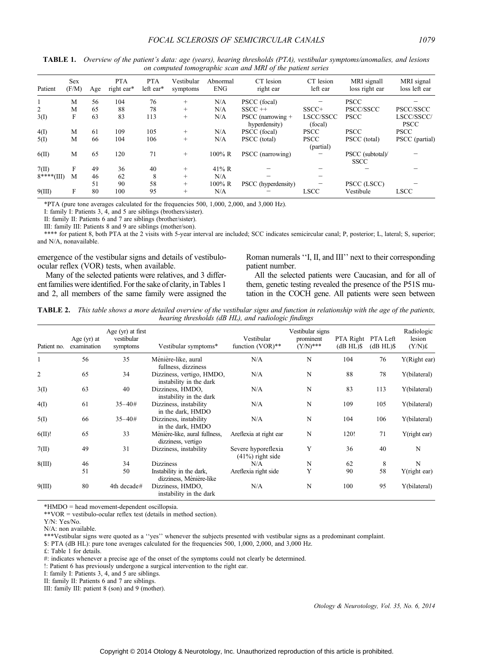| Patient        | <b>Sex</b><br>(F/M) | Age | <b>PTA</b><br>right ear* | <b>PTA</b><br>left ear* | Vestibular<br>symptoms | Abnormal<br><b>ENG</b> | CT lesion<br>right ear             | CT lesion<br>left ear    | MRI signall<br>loss right ear   | MRI signal<br>loss left ear |
|----------------|---------------------|-----|--------------------------|-------------------------|------------------------|------------------------|------------------------------------|--------------------------|---------------------------------|-----------------------------|
|                | M                   | 56  | 104                      | 76                      | $^{+}$                 | N/A                    | PSCC (focal)                       |                          | <b>PSCC</b>                     |                             |
| $\overline{2}$ | M                   | 65  | 88                       | 78                      | $+$                    | N/A                    | $SSCC ++$                          | $SSCC+$                  | PSCC/SSCC                       | PSCC/SSCC                   |
| 3(I)           | F                   | 63  | 83                       | 113                     | $+$                    | N/A                    | PSCC (narrowing +<br>hyperdensity) | LSCC/SSCC<br>(focal)     | <b>PSCC</b>                     | LSCC/SSCC/<br><b>PSCC</b>   |
| 4(I)           | M                   | 61  | 109                      | 105                     | $^{+}$                 | N/A                    | PSCC (focal)                       | <b>PSCC</b>              | <b>PSCC</b>                     | <b>PSCC</b>                 |
| 5(I)           | M                   | 66  | 104                      | 106                     | $^{+}$                 | N/A                    | PSCC (total)                       | <b>PSCC</b><br>(partial) | PSCC (total)                    | PSCC (partial)              |
| 6(II)          | M                   | 65  | 120                      | 71                      | $^{+}$                 | $100\%$ R              | PSCC (narrowing)                   |                          | PSCC (subtotal)/<br><b>SSCC</b> |                             |
| 7(II)          | F                   | 49  | 36                       | 40                      | $^{+}$                 | $41\% R$               |                                    |                          |                                 |                             |
| $8***(III)$    | M                   | 46  | 62                       | 8                       | $^{+}$                 | N/A                    |                                    |                          |                                 |                             |
|                |                     | 51  | 90                       | 58                      | $^{+}$                 | $100\%$ R              | PSCC (hyperdensity)                |                          | PSCC (LSCC)                     |                             |
| 9(III)         | F                   | 80  | 100                      | 95                      | $+$                    | N/A                    |                                    | <b>LSCC</b>              | Vestibule                       | <b>LSCC</b>                 |

TABLE 1. Overview of the patient's data: age (years), hearing thresholds (PTA), vestibular symptoms/anomalies, and lesions on computed tomographic scan and MRI of the patient series

\*PTA (pure tone averages calculated for the frequencies 500, 1,000, 2,000, and 3,000 Hz).

I: family I: Patients 3, 4, and 5 are siblings (brothers/sister).

II: family II: Patients 6 and 7 are siblings (brother/sister).

III: family III: Patients 8 and 9 are siblings (mother/son).

\*\*\*\* for patient 8, both PTA at the 2 visits with 5-year interval are included; SCC indicates semicircular canal; P, posterior; L, lateral; S, superior; and N/A, nonavailable.

emergence of the vestibular signs and details of vestibuloocular reflex (VOR) tests, when available.

Many of the selected patients were relatives, and 3 different families were identified. For the sake of clarity, in Tables 1 and 2, all members of the same family were assigned the Roman numerals ''I, II, and III'' next to their corresponding patient number.

All the selected patients were Caucasian, and for all of them, genetic testing revealed the presence of the P51S mutation in the COCH gene. All patients were seen between

TABLE 2. This table shows a more detailed overview of the vestibular signs and function in relationship with the age of the patients, hearing thresholds (dB HL), and radiologic findings

| Patient no.    | Age $(yr)$ at<br>examination | Age $(yr)$ at first<br>vestibular<br>symptoms | Vestibular symptoms*                                 | Vestibular<br>function $(VOR)**$          | Vestibular signs<br>prominent<br>$(Y/N)$ *** | PTA Right<br>$(dB HL)\$ | PTA Left<br>$(dB HL)\$ | Radiologic<br>lesion<br>$(Y/N)$ £ |
|----------------|------------------------------|-----------------------------------------------|------------------------------------------------------|-------------------------------------------|----------------------------------------------|-------------------------|------------------------|-----------------------------------|
|                | 56                           | 35                                            | Ménière-like, aural<br>fullness, dizziness           | N/A                                       | N                                            | 104                     | 76                     | Y(Right ear)                      |
| $\overline{c}$ | 65                           | 34                                            | Dizziness, vertigo, HMDO,<br>instability in the dark | N/A                                       | N                                            | 88                      | 78                     | Y(bilateral)                      |
| 3(I)           | 63                           | 40                                            | Dizziness, HMDO,<br>instability in the dark          | N/A                                       | N                                            | 83                      | 113                    | Y(bilateral)                      |
| 4(I)           | 61                           | $35 - 40#$                                    | Dizziness, instability<br>in the dark, HMDO          | N/A                                       | N                                            | 109                     | 105                    | Y(bilateral)                      |
| 5(I)           | 66                           | $35 - 40#$                                    | Dizziness, instability<br>in the dark, HMDO          | N/A                                       | N                                            | 104                     | 106                    | Y(bilateral)                      |
| 6(II)!         | 65                           | 33                                            | Ménière-like, aural fullness,<br>dizziness, vertigo  | Areflexia at right ear                    | N                                            | 120!                    | 71                     | Y(right ear)                      |
| 7(II)          | 49                           | 31                                            | Dizziness, instability                               | Severe hyporeflexia<br>$(41%)$ right side | Y                                            | 36                      | 40                     | N                                 |
| 8(III)         | 46                           | 34                                            | <b>Dizziness</b>                                     | N/A                                       | N                                            | 62                      | 8                      | N                                 |
|                | 51                           | 50                                            | Instability in the dark,<br>dizziness, Ménière-like  | Areflexia right side                      | Y                                            | 90                      | 58                     | Y(right ear)                      |
| 9(III)         | 80                           | 4th decade#                                   | Dizziness, HMDO,<br>instability in the dark          | N/A                                       | N                                            | 100                     | 95                     | Y(bilateral)                      |

\*HMDO = head movement-dependent oscillopsia.

\*\*VOR = vestibulo-ocular reflex test (details in method section).

Y/N: Yes/No.

\*\*\*Vestibular signs were quoted as a ''yes'' whenever the subjects presented with vestibular signs as a predominant complaint.

\$: PTA (dB HL): pure tone averages calculated for the frequencies 500, 1,000, 2,000, and 3,000 Hz.

 $f$ : Table 1 for details.

#: indicates whenever a precise age of the onset of the symptoms could not clearly be determined.

!: Patient 6 has previously undergone a surgical intervention to the right ear.

I: family I: Patients 3, 4, and 5 are siblings.

II: family II: Patients 6 and 7 are siblings.

III: family III: patient 8 (son) and 9 (mother).

N/A: non available.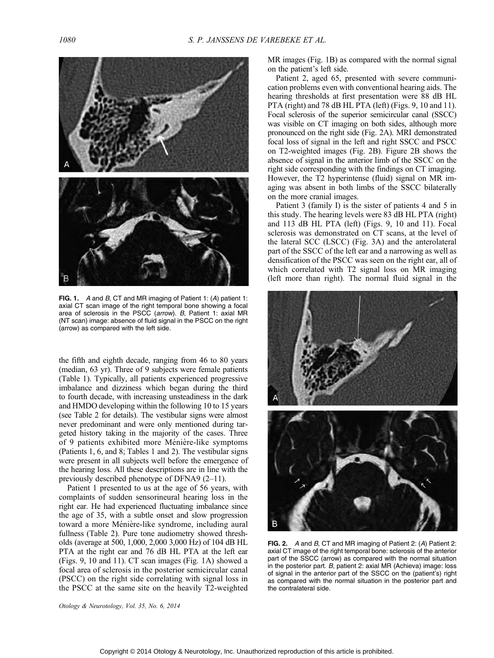

FIG. 1. A and B, CT and MR imaging of Patient 1: (A) patient 1: axial CT scan image of the right temporal bone showing a focal area of sclerosis in the PSCC (arrow). B, Patient 1: axial MR (NT scan) image: absence of fluid signal in the PSCC on the right (arrow) as compared with the left side.

the fifth and eighth decade, ranging from 46 to 80 years (median, 63 yr). Three of 9 subjects were female patients (Table 1). Typically, all patients experienced progressive imbalance and dizziness which began during the third to fourth decade, with increasing unsteadiness in the dark and HMDO developing within the following 10 to 15 years (see Table 2 for details). The vestibular signs were almost never predominant and were only mentioned during targeted history taking in the majority of the cases. Three of 9 patients exhibited more Ménière-like symptoms (Patients 1, 6, and 8; Tables 1 and 2). The vestibular signs were present in all subjects well before the emergence of the hearing loss. All these descriptions are in line with the previously described phenotype of DFNA9  $(2-11)$ .

Patient 1 presented to us at the age of 56 years, with complaints of sudden sensorineural hearing loss in the right ear. He had experienced fluctuating imbalance since the age of 35, with a subtle onset and slow progression toward a more Ménière-like syndrome, including aural fullness (Table 2). Pure tone audiometry showed thresholds (average at 500, 1,000, 2,000 3,000 Hz) of 104 dB HL PTA at the right ear and 76 dB HL PTA at the left ear (Figs. 9, 10 and 11). CT scan images (Fig. 1A) showed a focal area of sclerosis in the posterior semicircular canal (PSCC) on the right side correlating with signal loss in the PSCC at the same site on the heavily T2-weighted MR images (Fig. 1B) as compared with the normal signal on the patient's left side.

Patient 2, aged 65, presented with severe communication problems even with conventional hearing aids. The hearing thresholds at first presentation were 88 dB HL PTA (right) and 78 dB HL PTA (left) (Figs. 9, 10 and 11). Focal sclerosis of the superior semicircular canal (SSCC) was visible on CT imaging on both sides, although more pronounced on the right side (Fig. 2A). MRI demonstrated focal loss of signal in the left and right SSCC and PSCC on T2-weighted images (Fig. 2B). Figure 2B shows the absence of signal in the anterior limb of the SSCC on the right side corresponding with the findings on CT imaging. However, the T2 hyperintense (fluid) signal on MR imaging was absent in both limbs of the SSCC bilaterally on the more cranial images.

Patient 3 (family I) is the sister of patients 4 and 5 in this study. The hearing levels were 83 dB HL PTA (right) and 113 dB HL PTA (left) (Figs. 9, 10 and 11). Focal sclerosis was demonstrated on CT scans, at the level of the lateral SCC (LSCC) (Fig. 3A) and the anterolateral part of the SSCC of the left ear and a narrowing as well as densification of the PSCC was seen on the right ear, all of which correlated with T2 signal loss on MR imaging (left more than right). The normal fluid signal in the



FIG. 2. A and B, CT and MR imaging of Patient 2: (A) Patient 2: axial CT image of the right temporal bone: sclerosis of the anterior part of the SSCC (arrow) as compared with the normal situation in the posterior part. B, patient 2: axial MR (Achieva) image: loss of signal in the anterior part of the SSCC on the (patient's) right as compared with the normal situation in the posterior part and the contralateral side.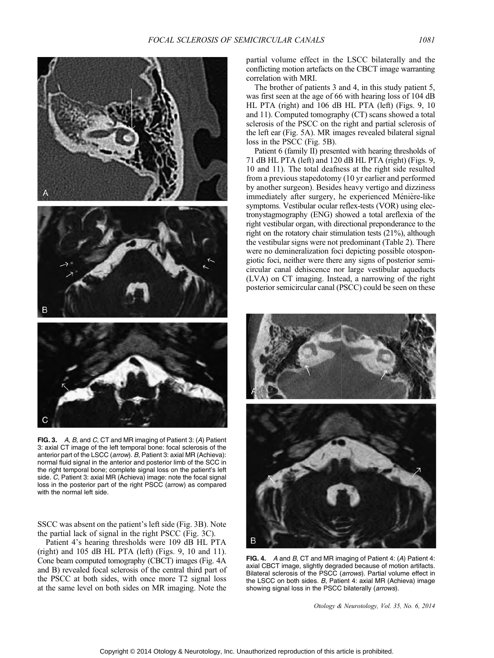

FIG. 3. A, B, and C, CT and MR imaging of Patient 3: (A) Patient 3: axial CT image of the left temporal bone: focal sclerosis of the anterior part of the LSCC (arrow). B, Patient 3: axial MR (Achieva): normal fluid signal in the anterior and posterior limb of the SCC in the right temporal bone; complete signal loss on the patient's left side. C, Patient 3: axial MR (Achieva) image: note the focal signal loss in the posterior part of the right PSCC (arrow) as compared with the normal left side.

SSCC was absent on the patient's left side (Fig. 3B). Note the partial lack of signal in the right PSCC (Fig. 3C).

Patient 4's hearing thresholds were 109 dB HL PTA  $(right)$  and 105 dB HL PTA (left) (Figs. 9, 10 and 11). Cone beam computed tomography (CBCT) images (Fig. 4A and B) revealed focal sclerosis of the central third part of the PSCC at both sides, with once more T2 signal loss at the same level on both sides on MR imaging. Note the partial volume effect in the LSCC bilaterally and the conflicting motion artefacts on the CBCT image warranting correlation with MRI.

The brother of patients 3 and 4, in this study patient 5, was first seen at the age of 66 with hearing loss of 104 dB HL PTA (right) and 106 dB HL PTA (left) (Figs. 9, 10 and 11). Computed tomography (CT) scans showed a total sclerosis of the PSCC on the right and partial sclerosis of the left ear (Fig. 5A). MR images revealed bilateral signal loss in the PSCC (Fig. 5B).

Patient 6 (family II) presented with hearing thresholds of 71 dB HL PTA (left) and 120 dB HL PTA (right) (Figs. 9, 10 and 11). The total deafness at the right side resulted from a previous stapedotomy (10 yr earlier and performed by another surgeon). Besides heavy vertigo and dizziness immediately after surgery, he experienced Ménière-like symptoms. Vestibular ocular reflex-tests (VOR) using electronystagmography (ENG) showed a total areflexia of the right vestibular organ, with directional preponderance to the right on the rotatory chair stimulation tests (21%), although the vestibular signs were not predominant (Table 2). There were no demineralization foci depicting possible otospongiotic foci, neither were there any signs of posterior semicircular canal dehiscence nor large vestibular aqueducts (LVA) on CT imaging. Instead, a narrowing of the right posterior semicircular canal (PSCC) could be seen on these



FIG. 4. A and B, CT and MR imaging of Patient 4: (A) Patient 4: axial CBCT image, slightly degraded because of motion artifacts. Bilateral sclerosis of the PSCC (arrows). Partial volume effect in the LSCC on both sides. B, Patient 4: axial MR (Achieva) image showing signal loss in the PSCC bilaterally (arrows).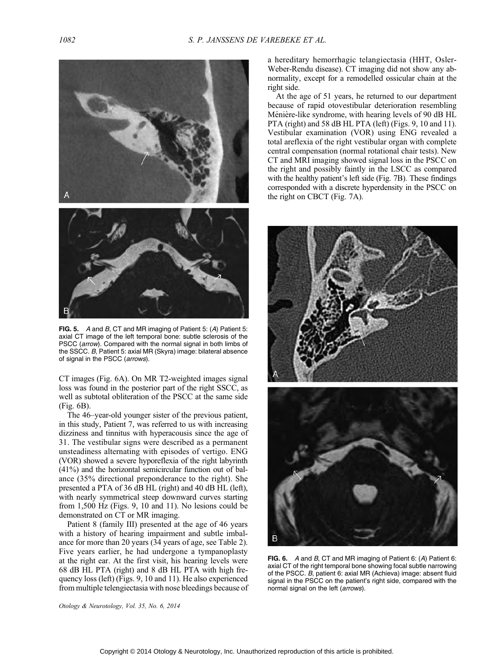

FIG. 5. A and B, CT and MR imaging of Patient 5: (A) Patient 5: axial CT image of the left temporal bone: subtle sclerosis of the PSCC (arrow). Compared with the normal signal in both limbs of the SSCC. B, Patient 5: axial MR (Skyra) image: bilateral absence of signal in the PSCC (arrows).

CT images (Fig. 6A). On MR T2-weighted images signal loss was found in the posterior part of the right SSCC, as well as subtotal obliteration of the PSCC at the same side (Fig. 6B).

The 46-year-old younger sister of the previous patient, in this study, Patient 7, was referred to us with increasing dizziness and tinnitus with hyperacousis since the age of 31. The vestibular signs were described as a permanent unsteadiness alternating with episodes of vertigo. ENG (VOR) showed a severe hyporeflexia of the right labyrinth (41%) and the horizontal semicircular function out of balance (35% directional preponderance to the right). She presented a PTA of 36 dB HL (right) and 40 dB HL (left), with nearly symmetrical steep downward curves starting from 1,500 Hz (Figs. 9, 10 and 11). No lesions could be demonstrated on CT or MR imaging.

Patient 8 (family III) presented at the age of 46 years with a history of hearing impairment and subtle imbalance for more than 20 years (34 years of age, see Table 2). Five years earlier, he had undergone a tympanoplasty at the right ear. At the first visit, his hearing levels were 68 dB HL PTA (right) and 8 dB HL PTA with high frequency loss (left) (Figs. 9, 10 and 11). He also experienced from multiple telengiectasia with nose bleedings because of a hereditary hemorrhagic telangiectasia (HHT, Osler-Weber-Rendu disease). CT imaging did not show any abnormality, except for a remodelled ossicular chain at the right side.

At the age of 51 years, he returned to our department because of rapid otovestibular deterioration resembling Ménière-like syndrome, with hearing levels of 90 dB HL PTA (right) and 58 dB HL PTA (left) (Figs. 9, 10 and 11). Vestibular examination (VOR) using ENG revealed a total areflexia of the right vestibular organ with complete central compensation (normal rotational chair tests). New CT and MRI imaging showed signal loss in the PSCC on the right and possibly faintly in the LSCC as compared with the healthy patient's left side (Fig. 7B). These findings corresponded with a discrete hyperdensity in the PSCC on the right on CBCT (Fig. 7A).



FIG. 6. A and B, CT and MR imaging of Patient 6: (A) Patient 6: axial CT of the right temporal bone showing focal subtle narrowing of the PSCC. B, patient 6: axial MR (Achieva) image: absent fluid signal in the PSCC on the patient's right side, compared with the normal signal on the left (*arrows*).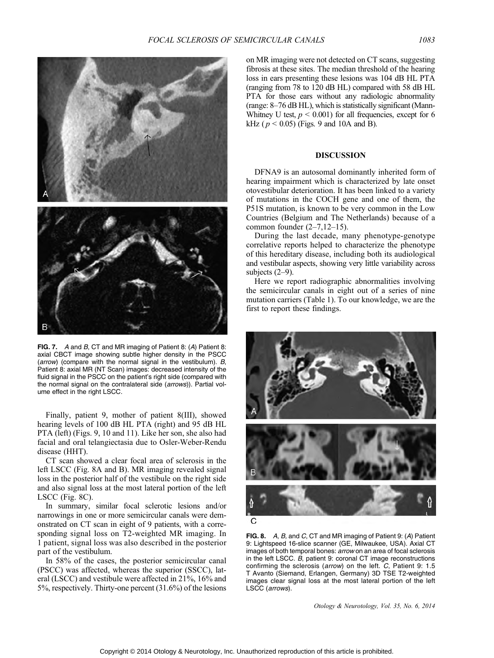

FIG. 7. A and B, CT and MR imaging of Patient 8: (A) Patient 8: axial CBCT image showing subtle higher density in the PSCC (arrow) (compare with the normal signal in the vestibulum). B, Patient 8: axial MR (NT Scan) images: decreased intensity of the fluid signal in the PSCC on the patient's right side (compared with the normal signal on the contralateral side (arrows)). Partial volume effect in the right LSCC.

Finally, patient 9, mother of patient 8(III), showed hearing levels of 100 dB HL PTA (right) and 95 dB HL PTA (left) (Figs. 9, 10 and 11). Like her son, she also had facial and oral telangiectasia due to Osler-Weber-Rendu disease (HHT).

CT scan showed a clear focal area of sclerosis in the left LSCC (Fig. 8A and B). MR imaging revealed signal loss in the posterior half of the vestibule on the right side and also signal loss at the most lateral portion of the left LSCC (Fig. 8C).

In summary, similar focal sclerotic lesions and/or narrowings in one or more semicircular canals were demonstrated on CT scan in eight of 9 patients, with a corresponding signal loss on T2-weighted MR imaging. In 1 patient, signal loss was also described in the posterior part of the vestibulum.

In 58% of the cases, the posterior semicircular canal (PSCC) was affected, whereas the superior (SSCC), lateral (LSCC) and vestibule were affected in 21%, 16% and 5%, respectively. Thirty-one percent (31.6%) of the lesions

on MR imaging were not detected on CT scans, suggesting fibrosis at these sites. The median threshold of the hearing loss in ears presenting these lesions was 104 dB HL PTA (ranging from 78 to 120 dB HL) compared with 58 dB HL PTA for those ears without any radiologic abnormality (range:  $8-76$  dB HL), which is statistically significant (Mann-Whitney U test,  $p < 0.001$ ) for all frequencies, except for 6 kHz ( $p < 0.05$ ) (Figs. 9 and 10A and B).

# DISCUSSION

DFNA9 is an autosomal dominantly inherited form of hearing impairment which is characterized by late onset otovestibular deterioration. It has been linked to a variety of mutations in the COCH gene and one of them, the P51S mutation, is known to be very common in the Low Countries (Belgium and The Netherlands) because of a common founder  $(2-7,12-15)$ .

During the last decade, many phenotype-genotype correlative reports helped to characterize the phenotype of this hereditary disease, including both its audiological and vestibular aspects, showing very little variability across subjects  $(2-9)$ .

Here we report radiographic abnormalities involving the semicircular canals in eight out of a series of nine mutation carriers (Table 1). To our knowledge, we are the first to report these findings.



FIG. 8. A, B, and C, CT and MR imaging of Patient 9: (A) Patient 9: Lightspeed 16-slice scanner (GE, Milwaukee, USA). Axial CT images of both temporal bones: arrow on an area of focal sclerosis in the left LSCC. B, patient 9: coronal CT image reconstructions confirming the sclerosis (arrow) on the left. C, Patient 9: 1.5 T Avanto (Siemand, Erlangen, Germany) 3D TSE T2-weighted images clear signal loss at the most lateral portion of the left LSCC (arrows).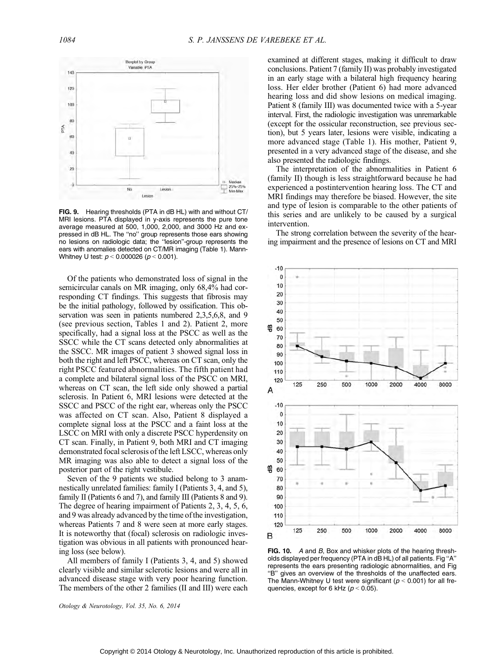

FIG. 9. Hearing thresholds (PTA in dB HL) with and without CT/ MRI lesions. PTA displayed in y-axis represents the pure tone average measured at 500, 1,000, 2,000, and 3000 Hz and expressed in dB HL. The ''no'' group represents those ears showing no lesions on radiologic data; the ''lesion''-group represents the ears with anomalies detected on CT/MR imaging (Table 1). Mann-Whitney U test:  $p < 0.000026$  ( $p < 0.001$ ).

Of the patients who demonstrated loss of signal in the semicircular canals on MR imaging, only 68,4% had corresponding CT findings. This suggests that fibrosis may be the initial pathology, followed by ossification. This observation was seen in patients numbered 2,3,5,6,8, and 9 (see previous section, Tables 1 and 2). Patient 2, more specifically, had a signal loss at the PSCC as well as the SSCC while the CT scans detected only abnormalities at the SSCC. MR images of patient 3 showed signal loss in both the right and left PSCC, whereas on CT scan, only the right PSCC featured abnormalities. The fifth patient had a complete and bilateral signal loss of the PSCC on MRI, whereas on CT scan, the left side only showed a partial sclerosis. In Patient 6, MRI lesions were detected at the SSCC and PSCC of the right ear, whereas only the PSCC was affected on CT scan. Also, Patient 8 displayed a complete signal loss at the PSCC and a faint loss at the LSCC on MRI with only a discrete PSCC hyperdensity on CT scan. Finally, in Patient 9, both MRI and CT imaging demonstrated focal sclerosis of the left LSCC, whereas only MR imaging was also able to detect a signal loss of the posterior part of the right vestibule.

Seven of the 9 patients we studied belong to 3 anamnestically unrelated families: family I (Patients 3, 4, and 5), family II (Patients 6 and 7), and family III (Patients 8 and 9). The degree of hearing impairment of Patients 2, 3, 4, 5, 6, and 9 was already advanced by the time of the investigation, whereas Patients 7 and 8 were seen at more early stages. It is noteworthy that (focal) sclerosis on radiologic investigation was obvious in all patients with pronounced hearing loss (see below).

All members of family I (Patients 3, 4, and 5) showed clearly visible and similar sclerotic lesions and were all in advanced disease stage with very poor hearing function. The members of the other 2 families (II and III) were each examined at different stages, making it difficult to draw conclusions. Patient 7 (family II) was probably investigated in an early stage with a bilateral high frequency hearing loss. Her elder brother (Patient 6) had more advanced hearing loss and did show lesions on medical imaging. Patient 8 (family III) was documented twice with a 5-year interval. First, the radiologic investigation was unremarkable (except for the ossicular reconstruction, see previous section), but 5 years later, lesions were visible, indicating a more advanced stage (Table 1). His mother, Patient 9, presented in a very advanced stage of the disease, and she also presented the radiologic findings.

The interpretation of the abnormalities in Patient 6 (family II) though is less straightforward because he had experienced a postintervention hearing loss. The CT and MRI findings may therefore be biased. However, the site and type of lesion is comparable to the other patients of this series and are unlikely to be caused by a surgical intervention.

The strong correlation between the severity of the hearing impairment and the presence of lesions on CT and MRI



FIG. 10. A and B. Box and whisker plots of the hearing thresholds displayed per frequency (PTA in dB HL) of all patients. Fig ''A'' represents the ears presenting radiologic abnormalities, and Fig ''B'' gives an overview of the thresholds of the unaffected ears. The Mann-Whitney U test were significant ( $p < 0.001$ ) for all frequencies, except for 6 kHz ( $p < 0.05$ ).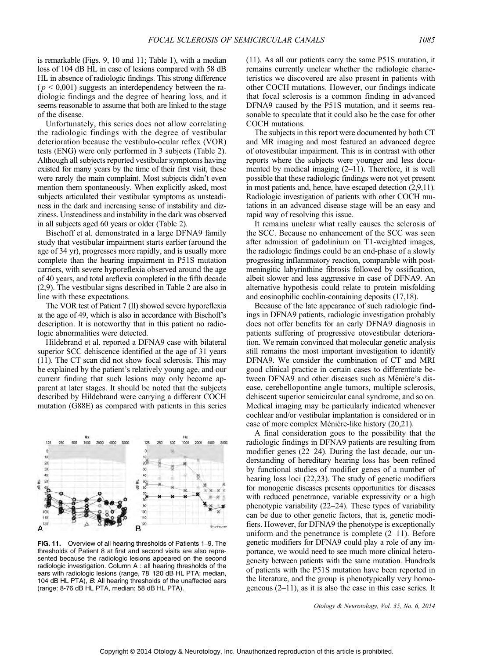is remarkable (Figs. 9, 10 and 11; Table 1), with a median loss of 104 dB HL in case of lesions compared with 58 dB HL in absence of radiologic findings. This strong difference  $(p < 0.001)$  suggests an interdependency between the radiologic findings and the degree of hearing loss, and it seems reasonable to assume that both are linked to the stage of the disease.

Unfortunately, this series does not allow correlating the radiologic findings with the degree of vestibular deterioration because the vestibulo-ocular reflex (VOR) tests (ENG) were only performed in 3 subjects (Table 2). Although all subjects reported vestibular symptoms having existed for many years by the time of their first visit, these were rarely the main complaint. Most subjects didn't even mention them spontaneously. When explicitly asked, most subjects articulated their vestibular symptoms as unsteadiness in the dark and increasing sense of instability and dizziness. Unsteadiness and instability in the dark was observed in all subjects aged 60 years or older (Table 2).

Bischoff et al. demonstrated in a large DFNA9 family study that vestibular impairment starts earlier (around the age of 34 yr), progresses more rapidly, and is usually more complete than the hearing impairment in P51S mutation carriers, with severe hyporeflexia observed around the age of 40 years, and total areflexia completed in the fifth decade (2,9). The vestibular signs described in Table 2 are also in line with these expectations.

The VOR test of Patient 7 (II) showed severe hyporeflexia at the age of 49, which is also in accordance with Bischoff's description. It is noteworthy that in this patient no radiologic abnormalities were detected.

Hildebrand et al. reported a DFNA9 case with bilateral superior SCC dehiscence identified at the age of 31 years (11). The CT scan did not show focal sclerosis. This may be explained by the patient's relatively young age, and our current finding that such lesions may only become apparent at later stages. It should be noted that the subjects described by Hildebrand were carrying a different COCH mutation (G88E) as compared with patients in this series



FIG. 11. Overview of all hearing thresholds of Patients 1-9. The thresholds of Patient 8 at first and second visits are also represented because the radiologic lesions appeared on the second radiologic investigation. Column A : all hearing thresholds of the ears with radiologic lesions (range, 78-120 dB HL PTA; median, 104 dB HL PTA), B: All hearing thresholds of the unaffected ears (range: 8-76 dB HL PTA, median: 58 dB HL PTA).

(11). As all our patients carry the same P51S mutation, it remains currently unclear whether the radiologic characteristics we discovered are also present in patients with other COCH mutations. However, our findings indicate that focal sclerosis is a common finding in advanced DFNA9 caused by the P51S mutation, and it seems reasonable to speculate that it could also be the case for other COCH mutations.

The subjects in this report were documented by both CT and MR imaging and most featured an advanced degree of otovestibular impairment. This is in contrast with other reports where the subjects were younger and less documented by medical imaging  $(2-11)$ . Therefore, it is well possible that these radiologic findings were not yet present in most patients and, hence, have escaped detection (2,9,11). Radiologic investigation of patients with other COCH mutations in an advanced disease stage will be an easy and rapid way of resolving this issue.

It remains unclear what really causes the sclerosis of the SCC. Because no enhancement of the SCC was seen after admission of gadolinium on T1-weighted images, the radiologic findings could be an end-phase of a slowly progressing inflammatory reaction, comparable with postmeningitic labyrinthine fibrosis followed by ossification, albeit slower and less aggressive in case of DFNA9. An alternative hypothesis could relate to protein misfolding and eosinophilic cochlin-containing deposits (17,18).

Because of the late appearance of such radiologic findings in DFNA9 patients, radiologic investigation probably does not offer benefits for an early DFNA9 diagnosis in patients suffering of progressive otovestibular deterioration. We remain convinced that molecular genetic analysis still remains the most important investigation to identify DFNA9. We consider the combination of CT and MRI good clinical practice in certain cases to differentiate between DFNA9 and other diseases such as Ménière's disease, cerebellopontine angle tumors, multiple sclerosis, dehiscent superior semicircular canal syndrome, and so on. Medical imaging may be particularly indicated whenever cochlear and/or vestibular implantation is considered or in case of more complex Ménière-like history (20,21).

A final consideration goes to the possibility that the radiologic findings in DFNA9 patients are resulting from modifier genes  $(22-24)$ . During the last decade, our understanding of hereditary hearing loss has been refined by functional studies of modifier genes of a number of hearing loss loci (22,23). The study of genetic modifiers for monogenic diseases presents opportunities for diseases with reduced penetrance, variable expressivity or a high phenotypic variability  $(22-24)$ . These types of variability can be due to other genetic factors, that is, genetic modifiers. However, for DFNA9 the phenotype is exceptionally uniform and the penetrance is complete  $(2-11)$ . Before genetic modifiers for DFNA9 could play a role of any importance, we would need to see much more clinical heterogeneity between patients with the same mutation. Hundreds of patients with the P51S mutation have been reported in the literature, and the group is phenotypically very homogeneous  $(2-11)$ , as it is also the case in this case series. It